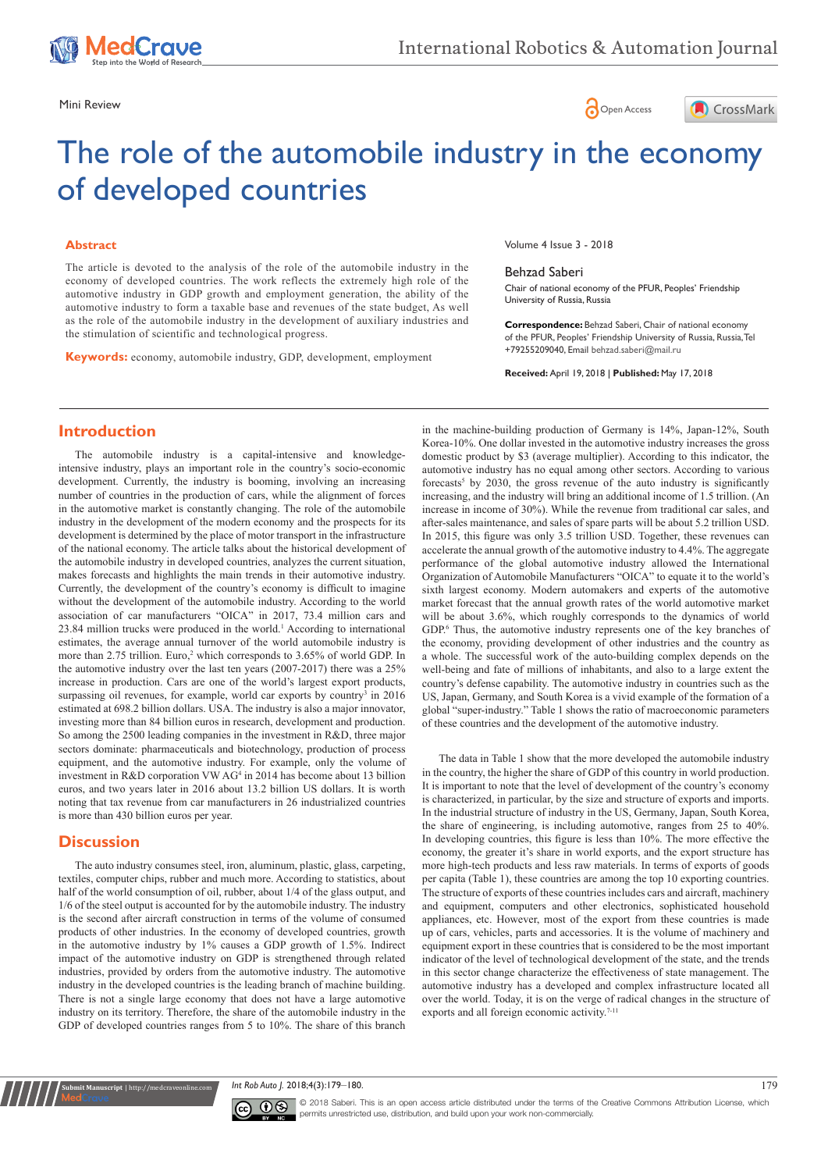





# The role of the automobile industry in the economy of developed countries

#### **Abstract**

The article is devoted to the analysis of the role of the automobile industry in the economy of developed countries. The work reflects the extremely high role of the automotive industry in GDP growth and employment generation, the ability of the automotive industry to form a taxable base and revenues of the state budget, As well as the role of the automobile industry in the development of auxiliary industries and the stimulation of scientific and technological progress.

**Keywords:** economy, automobile industry, GDP, development, employment

Volume 4 Issue 3 - 2018

#### Behzad Saberi

Chair of national economy of the PFUR, Peoples' Friendship University of Russia, Russia

**Correspondence:** Behzad Saberi, Chair of national economy of the PFUR, Peoples' Friendship University of Russia, Russia, Tel +79255209040, Email behzad.saberi@mail.ru

**Received:** April 19, 2018 | **Published:** May 17, 2018

### **Introduction**

The automobile industry is a capital-intensive and knowledgeintensive industry, plays an important role in the country's socio-economic development. Currently, the industry is booming, involving an increasing number of countries in the production of cars, while the alignment of forces in the automotive market is constantly changing. The role of the automobile industry in the development of the modern economy and the prospects for its development is determined by the place of motor transport in the infrastructure of the national economy. The article talks about the historical development of the automobile industry in developed countries, analyzes the current situation, makes forecasts and highlights the main trends in their automotive industry. Currently, the development of the country's economy is difficult to imagine without the development of the automobile industry. According to the world association of car manufacturers "OICA" in 2017, 73.4 million cars and 23.84 million trucks were produced in the world.<sup>1</sup> According to international estimates, the average annual turnover of the world automobile industry is more than 2.75 trillion. Euro,<sup>2</sup> which corresponds to 3.65% of world GDP. In the automotive industry over the last ten years (2007-2017) there was a 25% increase in production. Cars are one of the world's largest export products, surpassing oil revenues, for example, world car exports by country<sup>3</sup> in 2016 estimated at 698.2 billion dollars. USA. The industry is also a major innovator, investing more than 84 billion euros in research, development and production. So among the 2500 leading companies in the investment in R&D, three major sectors dominate: pharmaceuticals and biotechnology, production of process equipment, and the automotive industry. For example, only the volume of investment in R&D corporation VW AG<sup>4</sup> in 2014 has become about 13 billion euros, and two years later in 2016 about 13.2 billion US dollars. It is worth noting that tax revenue from car manufacturers in 26 industrialized countries is more than 430 billion euros per year.

### **Discussion**

**mit Manuscript** | http://medcraveonline.c

The auto industry consumes steel, iron, aluminum, plastic, glass, carpeting, textiles, computer chips, rubber and much more. According to statistics, about half of the world consumption of oil, rubber, about 1/4 of the glass output, and 1/6 of the steel output is accounted for by the automobile industry. The industry is the second after aircraft construction in terms of the volume of consumed products of other industries. In the economy of developed countries, growth in the automotive industry by 1% causes a GDP growth of 1.5%. Indirect impact of the automotive industry on GDP is strengthened through related industries, provided by orders from the automotive industry. The automotive industry in the developed countries is the leading branch of machine building. There is not a single large economy that does not have a large automotive industry on its territory. Therefore, the share of the automobile industry in the GDP of developed countries ranges from 5 to 10%. The share of this branch

in the machine-building production of Germany is 14%, Japan-12%, South Korea-10%. One dollar invested in the automotive industry increases the gross domestic product by \$3 (average multiplier). According to this indicator, the automotive industry has no equal among other sectors. According to various forecasts<sup>5</sup> by 2030, the gross revenue of the auto industry is significantly increasing, and the industry will bring an additional income of 1.5 trillion. (An increase in income of 30%). While the revenue from traditional car sales, and after-sales maintenance, and sales of spare parts will be about 5.2 trillion USD. In 2015, this figure was only 3.5 trillion USD. Together, these revenues can accelerate the annual growth of the automotive industry to 4.4%. The aggregate performance of the global automotive industry allowed the International Organization of Automobile Manufacturers "OICA" to equate it to the world's sixth largest economy. Modern automakers and experts of the automotive market forecast that the annual growth rates of the world automotive market will be about 3.6%, which roughly corresponds to the dynamics of world GDP.<sup>6</sup> Thus, the automotive industry represents one of the key branches of the economy, providing development of other industries and the country as a whole. The successful work of the auto-building complex depends on the well-being and fate of millions of inhabitants, and also to a large extent the country's defense capability. The automotive industry in countries such as the US, Japan, Germany, and South Korea is a vivid example of the formation of a global "super-industry." Table 1 shows the ratio of macroeconomic parameters of these countries and the development of the automotive industry.

The data in Table 1 show that the more developed the automobile industry in the country, the higher the share of GDP of this country in world production. It is important to note that the level of development of the country's economy is characterized, in particular, by the size and structure of exports and imports. In the industrial structure of industry in the US, Germany, Japan, South Korea, the share of engineering, is including automotive, ranges from 25 to 40%. In developing countries, this figure is less than 10%. The more effective the economy, the greater it's share in world exports, and the export structure has more high-tech products and less raw materials. In terms of exports of goods per capita (Table 1), these countries are among the top 10 exporting countries. The structure of exports of these countries includes cars and aircraft, machinery and equipment, computers and other electronics, sophisticated household appliances, etc. However, most of the export from these countries is made up of cars, vehicles, parts and accessories. It is the volume of machinery and equipment export in these countries that is considered to be the most important indicator of the level of technological development of the state, and the trends in this sector change characterize the effectiveness of state management. The automotive industry has a developed and complex infrastructure located all over the world. Today, it is on the verge of radical changes in the structure of exports and all foreign economic activity.<sup>7-11</sup>

*Int Rob Auto J.* 2018;4(3):179‒180. 179



© 2018 Saberi. This is an open access article distributed under the terms of the [Creative Commons Attribution License,](https://creativecommons.org/licenses/by-nc/4.0/) which permits unrestricted use, distribution, and build upon your work non-commercially.